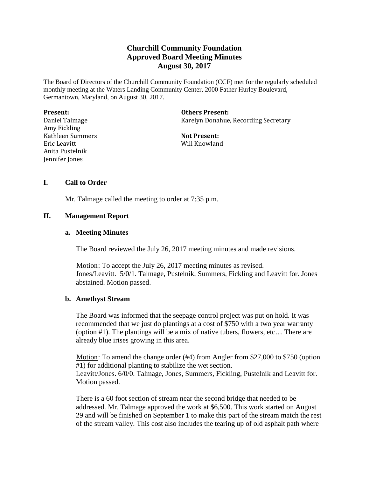# **Churchill Community Foundation Approved Board Meeting Minutes August 30, 2017**

The Board of Directors of the Churchill Community Foundation (CCF) met for the regularly scheduled monthly meeting at the Waters Landing Community Center, 2000 Father Hurley Boulevard, Germantown, Maryland, on August 30, 2017.

| <b>Present:</b>  |  |
|------------------|--|
| Daniel Talmage   |  |
| Amy Fickling     |  |
| Kathleen Summers |  |
| Eric Leavitt     |  |
| Anita Pustelnik  |  |
| Jennifer Jones   |  |

**Others Present:** Karelyn Donahue, Recording Secretary

**Not Present:** Will Knowland

# **I. Call to Order**

Mr. Talmage called the meeting to order at 7:35 p.m.

## **II. Management Report**

## **a. Meeting Minutes**

The Board reviewed the July 26, 2017 meeting minutes and made revisions.

Motion: To accept the July 26, 2017 meeting minutes as revised. Jones/Leavitt. 5/0/1. Talmage, Pustelnik, Summers, Fickling and Leavitt for. Jones abstained. Motion passed.

#### **b. Amethyst Stream**

The Board was informed that the seepage control project was put on hold. It was recommended that we just do plantings at a cost of \$750 with a two year warranty (option #1). The plantings will be a mix of native tubers, flowers, etc… There are already blue irises growing in this area.

Motion: To amend the change order  $(\#4)$  from Angler from \$27,000 to \$750 (option #1) for additional planting to stabilize the wet section. Leavitt/Jones. 6/0/0. Talmage, Jones, Summers, Fickling, Pustelnik and Leavitt for. Motion passed.

There is a 60 foot section of stream near the second bridge that needed to be addressed. Mr. Talmage approved the work at \$6,500. This work started on August 29 and will be finished on September 1 to make this part of the stream match the rest of the stream valley. This cost also includes the tearing up of old asphalt path where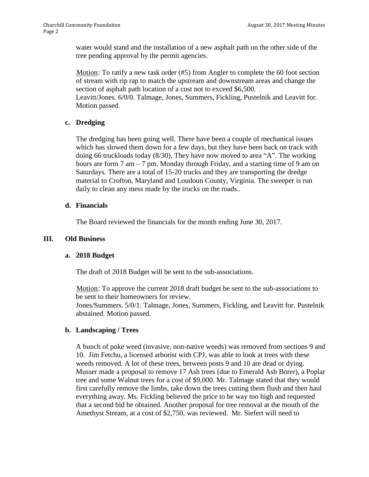water would stand and the installation of a new asphalt path on the other side of the tree pending approval by the permit agencies.

Motion: To ratify a new task order  $(#5)$  from Angler to complete the 60 foot section of stream with rip rap to match the upstream and downstream areas and change the section of asphalt path location of a cost not to exceed \$6,500. Leavitt/Jones. 6/0/0. Talmage, Jones, Summers, Fickling, Pustelnik and Leavitt for. Motion passed.

# **c. Dredging**

The dredging has been going well. There have been a couple of mechanical issues which has slowed them down for a few days, but they have been back on track with doing 66 truckloads today (8/30). They have now moved to area "A". The working hours are form 7 am – 7 pm, Monday through Friday, and a starting time of 9 am on Saturdays. There are a total of 15-20 trucks and they are transporting the dredge material to Crofton, Maryland and Loudoun County, Virginia. The sweeper is run daily to clean any mess made by the trucks on the roads..

## **d. Financials**

The Board reviewed the financials for the month ending June 30, 2017.

# **III. Old Business**

#### **a. 2018 Budget**

The draft of 2018 Budget will be sent to the sub-associations.

Motion: To approve the current 2018 draft budget be sent to the sub-associations to be sent to their homeowners for review. Jones/Summers. 5/0/1. Talmage, Jones, Summers, Fickling, and Leavitt for. Pustelnik abstained. Motion passed.

# **b. Landscaping / Trees**

A bunch of poke weed (invasive, non-native weeds) was removed from sections 9 and 10. Jim Fetchu, a licensed arborist with CPJ, was able to look at trees with these weeds removed. A lot of these trees, between posts 9 and 10 are dead or dying. Musser made a proposal to remove 17 Ash trees (due to Emerald Ash Borer), a Poplar tree and some Walnut trees for a cost of \$9,000. Mr. Talmage stated that they would first carefully remove the limbs, take down the trees cutting them flush and then haul everything away. Ms. Fickling believed the price to be way too high and requested that a second bid be obtained. Another proposal for tree removal at the mouth of the Amethyst Stream, at a cost of \$2,750, was reviewed. Mr. Siefert will need to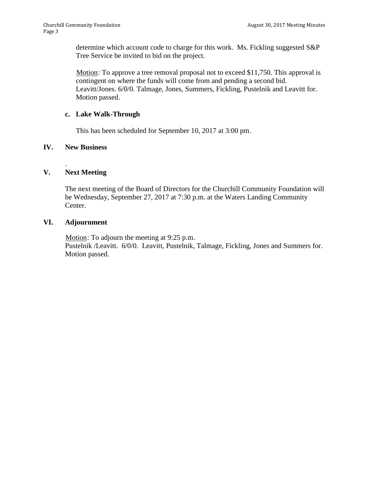determine which account code to charge for this work. Ms. Fickling suggested S&P Tree Service be invited to bid on the project.

Motion: To approve a tree removal proposal not to exceed  $$11,750$ . This approval is contingent on where the funds will come from and pending a second bid. Leavitt/Jones. 6/0/0. Talmage, Jones, Summers, Fickling, Pustelnik and Leavitt for. Motion passed.

# **c. Lake Walk-Through**

This has been scheduled for September 10, 2017 at 3:00 pm.

## **IV. New Business**

#### . **V. Next Meeting**

The next meeting of the Board of Directors for the Churchill Community Foundation will be Wednesday, September 27, 2017 at 7:30 p.m. at the Waters Landing Community Center.

## **VI. Adjournment**

Motion: To adjourn the meeting at 9:25 p.m. Pustelnik /Leavitt. 6/0/0. Leavitt, Pustelnik, Talmage, Fickling, Jones and Summers for. Motion passed.